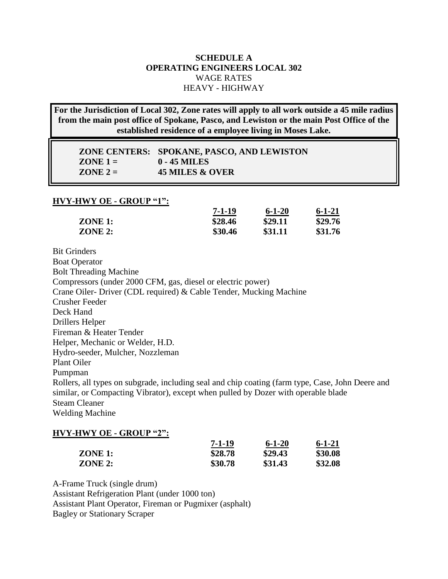## **SCHEDULE A OPERATING ENGINEERS LOCAL 302** WAGE RATES HEAVY - HIGHWAY

**For the Jurisdiction of Local 302, Zone rates will apply to all work outside a 45 mile radius from the main post office of Spokane, Pasco, and Lewiston or the main Post Office of the established residence of a employee living in Moses Lake.**

|            | ZONE CENTERS: SPOKANE, PASCO, AND LEWISTON |
|------------|--------------------------------------------|
| $ZONE 1 =$ | 0 - 45 MILES                               |
| $ZONE 2 =$ | 45 MILES & OVER                            |

#### **HVY-HWY OE - GROUP "1":**

|         | 7-1-19  | $6 - 1 - 20$ | $6 - 1 - 21$ |
|---------|---------|--------------|--------------|
| ZONE 1: | \$28.46 | \$29.11      | \$29.76      |
| ZONE 2: | \$30.46 | \$31.11      | \$31.76      |

Bit Grinders Boat Operator Bolt Threading Machine Compressors (under 2000 CFM, gas, diesel or electric power) Crane Oiler- Driver (CDL required) & Cable Tender, Mucking Machine Crusher Feeder Deck Hand Drillers Helper Fireman & Heater Tender Helper, Mechanic or Welder, H.D. Hydro-seeder, Mulcher, Nozzleman Plant Oiler Pumpman Rollers, all types on subgrade, including seal and chip coating (farm type, Case, John Deere and similar, or Compacting Vibrator), except when pulled by Dozer with operable blade Steam Cleaner Welding Machine

### **HVY-HWY OE - GROUP "2":**

|         | 7-1-19  | $6 - 1 - 20$ | $6 - 1 - 21$ |
|---------|---------|--------------|--------------|
| ZONE 1: | \$28.78 | \$29.43      | \$30.08      |
| ZONE 2: | \$30.78 | \$31.43      | \$32.08      |

A-Frame Truck (single drum) Assistant Refrigeration Plant (under 1000 ton) Assistant Plant Operator, Fireman or Pugmixer (asphalt) Bagley or Stationary Scraper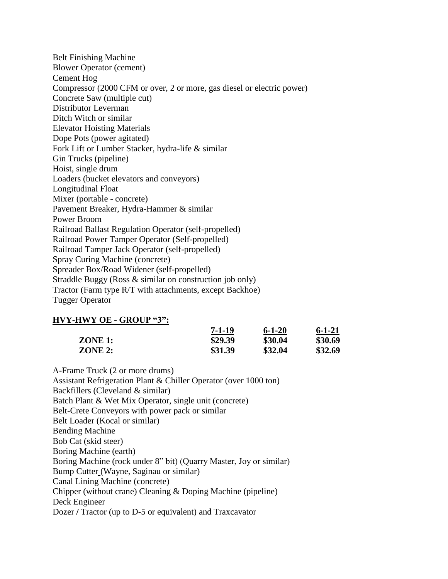Belt Finishing Machine Blower Operator (cement) Cement Hog Compressor (2000 CFM or over, 2 or more, gas diesel or electric power) Concrete Saw (multiple cut) Distributor Leverman Ditch Witch or similar Elevator Hoisting Materials Dope Pots (power agitated) Fork Lift or Lumber Stacker, hydra-life & similar Gin Trucks (pipeline) Hoist, single drum Loaders (bucket elevators and conveyors) Longitudinal Float Mixer (portable - concrete) Pavement Breaker, Hydra-Hammer & similar Power Broom Railroad Ballast Regulation Operator (self-propelled) Railroad Power Tamper Operator (Self-propelled) Railroad Tamper Jack Operator (self-propelled) Spray Curing Machine (concrete) Spreader Box/Road Widener (self-propelled) Straddle Buggy (Ross & similar on construction job only) Tractor (Farm type R/T with attachments, except Backhoe) Tugger Operator

### **HVY-HWY OE - GROUP "3":**

|           | $7 - 1 - 19$ | $6 - 1 - 20$ | $6 - 1 - 21$ |
|-----------|--------------|--------------|--------------|
| $ZONE$ 1: | \$29.39      | \$30.04      | \$30.69      |
| $ZONE$ 2: | \$31.39      | \$32.04      | \$32.69      |

A-Frame Truck (2 or more drums) Assistant Refrigeration Plant & Chiller Operator (over 1000 ton) Backfillers (Cleveland & similar) Batch Plant & Wet Mix Operator, single unit (concrete) Belt-Crete Conveyors with power pack or similar Belt Loader (Kocal or similar) Bending Machine Bob Cat (skid steer) Boring Machine (earth) Boring Machine (rock under 8" bit) (Quarry Master, Joy or similar) Bump Cutter (Wayne, Saginau or similar) Canal Lining Machine (concrete) Chipper (without crane) Cleaning & Doping Machine (pipeline) Deck Engineer Dozer **/** Tractor (up to D-5 or equivalent) and Traxcavator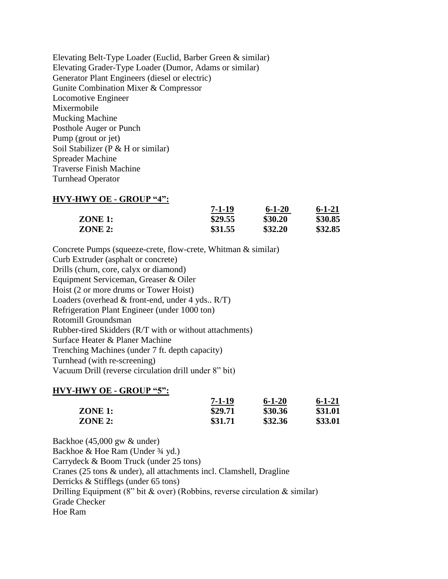Elevating Belt-Type Loader (Euclid, Barber Green & similar) Elevating Grader-Type Loader (Dumor, Adams or similar) Generator Plant Engineers (diesel or electric) Gunite Combination Mixer & Compressor Locomotive Engineer Mixermobile Mucking Machine Posthole Auger or Punch Pump (grout or jet) Soil Stabilizer (P & H or similar) Spreader Machine Traverse Finish Machine Turnhead Operator

### **HVY-HWY OE - GROUP "4":**

|           | $7 - 1 - 19$ | $6 - 1 - 20$ | 6-1-21  |
|-----------|--------------|--------------|---------|
| ZONE 1:   | \$29.55      | \$30.20      | \$30.85 |
| $ZONE$ 2: | \$31.55      | \$32.20      | \$32.85 |

Concrete Pumps (squeeze-crete, flow-crete, Whitman & similar) Curb Extruder (asphalt or concrete) Drills (churn, core, calyx or diamond) Equipment Serviceman, Greaser & Oiler Hoist (2 or more drums or Tower Hoist) Loaders (overhead  $&$  front-end, under 4 yds..  $R/T$ ) Refrigeration Plant Engineer (under 1000 ton) Rotomill Groundsman Rubber-tired Skidders (R/T with or without attachments) Surface Heater & Planer Machine Trenching Machines (under 7 ft. depth capacity) Turnhead (with re-screening) Vacuum Drill (reverse circulation drill under 8" bit)

#### **HVY-HWY OE - GROUP "5":**

|           | $7 - 1 - 19$ | $6 - 1 - 20$ | $6 - 1 - 21$ |
|-----------|--------------|--------------|--------------|
| $ZONE$ 1: | \$29.71      | \$30.36      | \$31.01      |
| $ZONE$ 2: | \$31.71      | \$32.36      | \$33.01      |

Backhoe (45,000 gw & under) Backhoe & Hoe Ram (Under <sup>3/4</sup> yd.) Carrydeck & Boom Truck (under 25 tons) Cranes (25 tons & under), all attachments incl. Clamshell, Dragline Derricks & Stifflegs (under 65 tons) Drilling Equipment (8" bit  $\&$  over) (Robbins, reverse circulation  $\&$  similar) Grade Checker Hoe Ram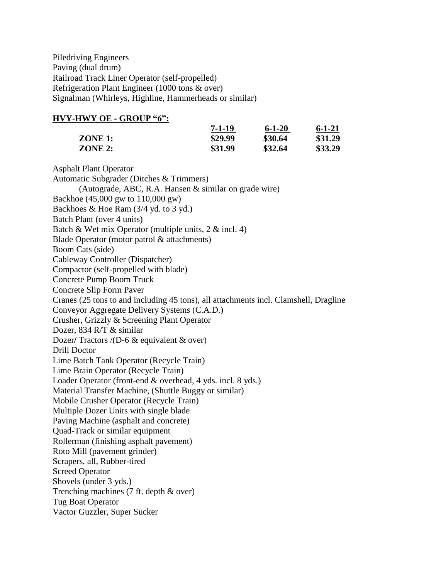Piledriving Engineers Paving (dual drum) Railroad Track Liner Operator (self-propelled) Refrigeration Plant Engineer (1000 tons & over) Signalman (Whirleys, Highline, Hammerheads or similar)

### **HVY-HWY OE - GROUP "6":**

|         | $7 - 1 - 19$ | $6 - 1 - 20$ | $6 - 1 - 21$ |
|---------|--------------|--------------|--------------|
| ZONE 1: | \$29.99      | \$30.64      | \$31.29      |
| ZONE 2: | \$31.99      | \$32.64      | \$33.29      |

Asphalt Plant Operator Automatic Subgrader (Ditches & Trimmers) (Autograde, ABC, R.A. Hansen & similar on grade wire) Backhoe (45,000 gw to 110,000 gw) Backhoes & Hoe Ram (3/4 yd. to 3 yd.) Batch Plant (over 4 units) Batch & Wet mix Operator (multiple units,  $2 \& \text{incl. } 4$ ) Blade Operator (motor patrol & attachments) Boom Cats (side) Cableway Controller (Dispatcher) Compactor (self-propelled with blade) Concrete Pump Boom Truck Concrete Slip Form Paver Cranes (25 tons to and including 45 tons), all attachments incl. Clamshell, Dragline Conveyor Aggregate Delivery Systems (C.A.D.) Crusher, Grizzly & Screening Plant Operator Dozer, 834 R/T & similar Dozer/ Tractors /(D-6 & equivalent & over) Drill Doctor Lime Batch Tank Operator (Recycle Train) Lime Brain Operator (Recycle Train) Loader Operator (front-end & overhead, 4 yds. incl. 8 yds.) Material Transfer Machine, (Shuttle Buggy or similar) Mobile Crusher Operator (Recycle Train) Multiple Dozer Units with single blade Paving Machine (asphalt and concrete) Quad-Track or similar equipment Rollerman (finishing asphalt pavement) Roto Mill (pavement grinder) Scrapers, all, Rubber-tired Screed Operator Shovels (under 3 yds.) Trenching machines (7 ft. depth & over) Tug Boat Operator Vactor Guzzler, Super Sucker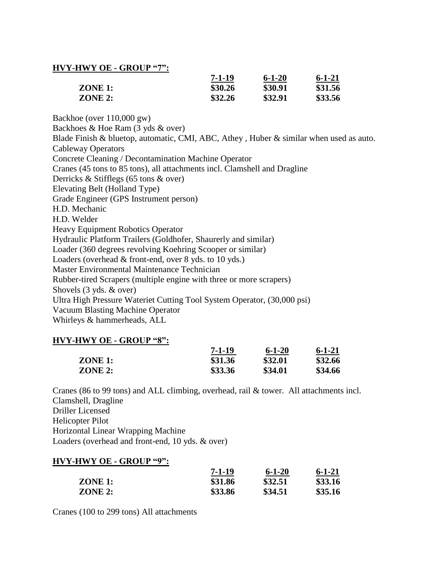# **HVY-HWY OE - GROUP "7":**

|         | $7 - 1 - 19$ | $6 - 1 - 20$ | $6 - 1 - 21$ |  |
|---------|--------------|--------------|--------------|--|
| ZONE 1: | \$30.26      | \$30.91      | \$31.56      |  |
| ZONE 2: | \$32.26      | \$32.91      | \$33.56      |  |

Backhoe (over 110,000 gw) Backhoes & Hoe Ram (3 yds & over) Blade Finish & bluetop, automatic, CMI, ABC, Athey , Huber & similar when used as auto. Cableway Operators Concrete Cleaning / Decontamination Machine Operator Cranes (45 tons to 85 tons), all attachments incl. Clamshell and Dragline Derricks & Stifflegs (65 tons & over) Elevating Belt (Holland Type) Grade Engineer (GPS Instrument person) H.D. Mechanic H.D. Welder Heavy Equipment Robotics Operator Hydraulic Platform Trailers (Goldhofer, Shaurerly and similar) Loader (360 degrees revolving Koehring Scooper or similar) Loaders (overhead & front-end, over 8 yds. to 10 yds.) Master Environmental Maintenance Technician Rubber-tired Scrapers (multiple engine with three or more scrapers) Shovels (3 yds. & over) Ultra High Pressure Wateriet Cutting Tool System Operator, (30,000 psi) Vacuum Blasting Machine Operator Whirleys & hammerheads, ALL

### **HVY-HWY OE - GROUP "8":**

|                | 7-1-19  | $6 - 1 - 20$ | $6 - 1 - 21$ |
|----------------|---------|--------------|--------------|
| $ZONE$ 1:      | \$31.36 | \$32.01      | \$32.66      |
| <b>ZONE 2:</b> | \$33.36 | \$34.01      | \$34.66      |

Cranes (86 to 99 tons) and ALL climbing, overhead, rail & tower. All attachments incl. Clamshell, Dragline Driller Licensed Helicopter Pilot Horizontal Linear Wrapping Machine Loaders (overhead and front-end, 10 yds. & over)

#### **HVY-HWY OE - GROUP "9":**

|           | 7-1-19  | $6 - 1 - 20$ | $6 - 1 - 21$ |
|-----------|---------|--------------|--------------|
| $ZONE$ 1: | \$31.86 | \$32.51      | \$33.16      |
| ZONE 2:   | \$33.86 | \$34.51      | \$35.16      |

Cranes (100 to 299 tons) All attachments